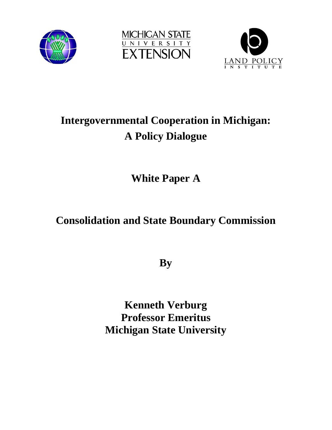





# **Intergovernmental Cooperation in Michigan: A Policy Dialogue**

**White Paper A** 

## **Consolidation and State Boundary Commission**

**By** 

**Kenneth Verburg Professor Emeritus Michigan State University**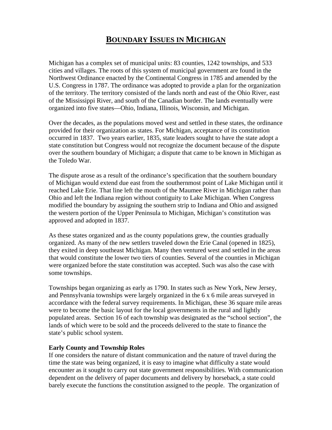### **BOUNDARY ISSUES IN MICHIGAN**

Michigan has a complex set of municipal units: 83 counties, 1242 townships, and 533 cities and villages. The roots of this system of municipal government are found in the Northwest Ordinance enacted by the Continental Congress in 1785 and amended by the U.S. Congress in 1787. The ordinance was adopted to provide a plan for the organization of the territory. The territory consisted of the lands north and east of the Ohio River, east of the Mississippi River, and south of the Canadian border. The lands eventually were organized into five states—Ohio, Indiana, Illinois, Wisconsin, and Michigan.

Over the decades, as the populations moved west and settled in these states, the ordinance provided for their organization as states. For Michigan, acceptance of its constitution occurred in 1837. Two years earlier, 1835, state leaders sought to have the state adopt a state constitution but Congress would not recognize the document because of the dispute over the southern boundary of Michigan; a dispute that came to be known in Michigan as the Toledo War.

The dispute arose as a result of the ordinance's specification that the southern boundary of Michigan would extend due east from the southernmost point of Lake Michigan until it reached Lake Erie. That line left the mouth of the Maumee River in Michigan rather than Ohio and left the Indiana region without contiguity to Lake Michigan. When Congress modified the boundary by assigning the southern strip to Indiana and Ohio and assigned the western portion of the Upper Peninsula to Michigan, Michigan's constitution was approved and adopted in 1837.

As these states organized and as the county populations grew, the counties gradually organized. As many of the new settlers traveled down the Erie Canal (opened in 1825), they exited in deep southeast Michigan. Many then ventured west and settled in the areas that would constitute the lower two tiers of counties. Several of the counties in Michigan were organized before the state constitution was accepted. Such was also the case with some townships.

Townships began organizing as early as 1790. In states such as New York, New Jersey, and Pennsylvania townships were largely organized in the 6 x 6 mile areas surveyed in accordance with the federal survey requirements. In Michigan, these 36 square mile areas were to become the basic layout for the local governments in the rural and lightly populated areas. Section 16 of each township was designated as the "school section", the lands of which were to be sold and the proceeds delivered to the state to finance the state's public school system.

#### **Early County and Township Roles**

If one considers the nature of distant communication and the nature of travel during the time the state was being organized, it is easy to imagine what difficulty a state would encounter as it sought to carry out state government responsibilities. With communication dependent on the delivery of paper documents and delivery by horseback, a state could barely execute the functions the constitution assigned to the people. The organization of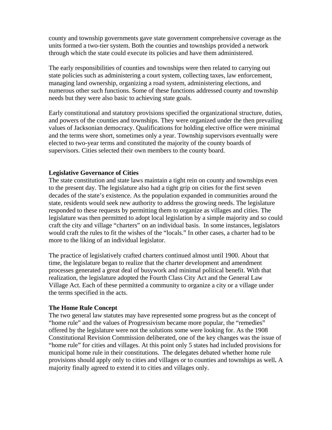county and township governments gave state government comprehensive coverage as the units formed a two-tier system. Both the counties and townships provided a network through which the state could execute its policies and have them administered.

The early responsibilities of counties and townships were then related to carrying out state policies such as administering a court system, collecting taxes, law enforcement, managing land ownership, organizing a road system, administering elections, and numerous other such functions. Some of these functions addressed county and township needs but they were also basic to achieving state goals.

Early constitutional and statutory provisions specified the organizational structure, duties, and powers of the counties and townships. They were organized under the then prevailing values of Jacksonian democracy. Qualifications for holding elective office were minimal and the terms were short, sometimes only a year. Township supervisors eventually were elected to two-year terms and constituted the majority of the county boards of supervisors. Cities selected their own members to the county board.

#### **Legislative Governance of Cities**

The state constitution and state laws maintain a tight rein on county and townships even to the present day. The legislature also had a tight grip on cities for the first seven decades of the state's existence. As the population expanded in communities around the state, residents would seek new authority to address the growing needs. The legislature responded to these requests by permitting them to organize as villages and cities. The legislature was then permitted to adopt local legislation by a simple majority and so could craft the city and village "charters" on an individual basis. In some instances, legislators would craft the rules to fit the wishes of the "locals." In other cases, a charter had to be more to the liking of an individual legislator.

The practice of legislatively crafted charters continued almost until 1900. About that time, the legislature began to realize that the charter development and amendment processes generated a great deal of busywork and minimal political benefit. With that realization, the legislature adopted the Fourth Class City Act and the General Law Village Act. Each of these permitted a community to organize a city or a village under the terms specified in the acts.

#### **The Home Rule Concept**

The two general law statutes may have represented some progress but as the concept of "home rule" and the values of Progressivism became more popular, the "remedies" offered by the legislature were not the solutions some were looking for. As the 1908 Constitutional Revision Commission deliberated, one of the key changes was the issue of "home rule" for cities and villages. At this point only 5 states had included provisions for municipal home rule in their constitutions. The delegates debated whether home rule provisions should apply only to cities and villages or to counties and townships as well**.** A majority finally agreed to extend it to cities and villages only.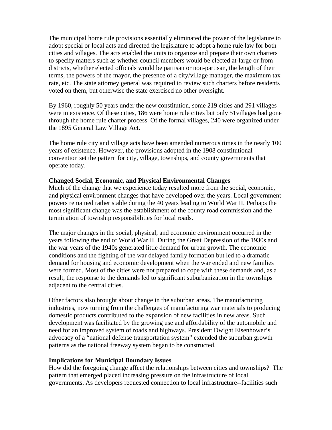The municipal home rule provisions essentially eliminated the power of the legislature to adopt special or local acts and directed the legislature to adopt a home rule law for both cities and villages. The acts enabled the units to organize and prepare their own charters to specify matters such as whether council members would be elected at-large or from districts, whether elected officials would be partisan or non-partisan, the length of their terms, the powers of the ma**y**or, the presence of a city/village manager, the maximum tax rate, etc. The state attorney general was required to review such charters before residents voted on them, but otherwise the state exercised no other oversight.

By 1960, roughly 50 years under the new constitution, some 219 cities and 291 villages were in existence. Of these cities, 186 were home rule cities but only 51villages had gone through the home rule charter process. Of the formal villages, 240 were organized under the 1895 General Law Village Act.

The home rule city and village acts have been amended numerous times in the nearly 100 years of existence. However, the provisions adopted in the 1908 constitutional convention set the pattern for city, village, townships, and county governments that operate today.

#### **Changed Social, Economic, and Physical Environmental Changes**

Much of the change that we experience today resulted more from the social, economic, and physical environment changes that have developed over the years. Local government powers remained rather stable during the 40 years leading to World War II. Perhaps the most significant change was the establishment of the county road commission and the termination of township responsibilities for local roads.

The major changes in the social, physical, and economic environment occurred in the years following the end of World War II. During the Great Depression of the 1930s and the war years of the 1940s generated little demand for urban growth. The economic conditions and the fighting of the war delayed family formation but led to a dramatic demand for housing and economic development when the war ended and new families were formed. Most of the cities were not prepared to cope with these demands and, as a result, the response to the demands led to significant suburbanization in the townships adjacent to the central cities.

Other factors also brought about change in the suburban areas. The manufacturing industries, now turning from the challenges of manufacturing war materials to producing domestic products contributed to the expansion of new facilities in new areas. Such development was facilitated by the growing use and affordability of the automobile and need for an improved system of roads and highways. President Dwight Eisenhower's advocacy of a "national defense transportation system" extended the suburban growth patterns as the national freeway system began to be constructed.

#### **Implications for Municipal Boundary Issues**

How did the foregoing change affect the relationships between cities and townships? The pattern that emerged placed increasing pressure on the infrastructure of local governments. As developers requested connection to local infrastructure--facilities such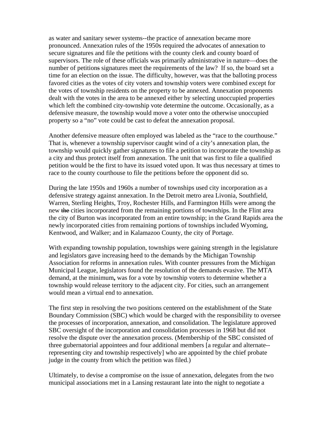as water and sanitary sewer systems--the practice of annexation became more pronounced. Annexation rules of the 1950s required the advocates of annexation to secure signatures and file the petitions with the county clerk and county board of supervisors. The role of these officials was primarily administrative in nature—does the number of petitions signatures meet the requirements of the law? If so, the board set a time for an election on the issue. The difficulty, however, was that the balloting process favored cities as the votes of city voters and township voters were combined except for the votes of township residents on the property to be annexed. Annexation proponents dealt with the votes in the area to be annexed either by selecting unoccupied properties which left the combined city-township vote determine the outcome. Occasionally, as a defensive measure, the township would move a voter onto the otherwise unoccupied property so a "no" vote could be cast to defeat the annexation proposal.

Another defensive measure often employed was labeled as the "race to the courthouse." That is, whenever a township supervisor caught wind of a city's annexation plan, the township would quickly gather signatures to file a petition to incorporate the township as a city and thus protect itself from annexation. The unit that was first to file a qualified petition would be the first to have its issued voted upon. It was thus necessary at times to race to the county courthouse to file the petitions before the opponent did so.

During the late 1950s and 1960s a number of townships used city incorporation as a defensive strategy against annexation. In the Detroit metro area Livonia, Southfield, Warren, Sterling Heights, Troy, Rochester Hills, and Farmington Hills were among the new the cities incorporated from the remaining portions of townships. In the Flint area the city of Burton was incorporated from an entire township; in the Grand Rapids area the newly incorporated cities from remaining portions of townships included Wyoming, Kentwood, and Walker; and in Kalamazoo County, the city of Portage.

With expanding township population, townships were gaining strength in the legislature and legislators gave increasing heed to the demands by the Michigan Township Association for reforms in annexation rules. With counter pressures from the Michigan Municipal League, legislators found the resolution of the demands evasive. The MTA demand, at the minimum**,** was for a vote by township voters to determine whether a township would release territory to the adjacent city. For cities, such an arrangement would mean a virtual end to annexation.

The first step in resolving the two positions centered on the establishment of the State Boundary Commission (SBC) which would be charged with the responsibility to oversee the processes of incorporation, annexation, and consolidation. The legislature approved SBC oversight of the incorporation and consolidation processes in 1968 but did not resolve the dispute over the annexation process. (Membership of the SBC consisted of three gubernatorial appointees and four additional members [a regular and alternate- representing city and township respectively] who are appointed by the chief probate judge in the county from which the petition was filed.)

Ultimately, to devise a compromise on the issue of annexation, delegates from the two municipal associations met in a Lansing restaurant late into the night to negotiate a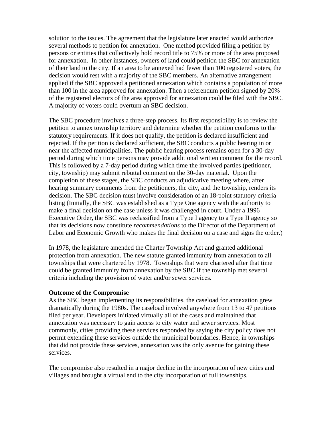solution to the issues. The agreement that the legislature later enacted would authorize several methods to petition for annexation. One method provided filing a petition by persons or entities that collectively hold record title to 75% or more of the area proposed for annexation. In other instances, owners of land could petition the SBC for annexation of their land to the city. If an area to be annexed had fewer than 100 registered voters, the decision would rest with a majority of the SBC members. An alternative arrangement applied if the SBC approved a petitioned annexation which contains a population of more than 100 in the area approved for annexation. Then a referendum petition signed by 20% of the registered electors of the area approved for annexation could be filed with the SBC. A majority of voters could overturn an SBC decision.

The SBC procedure involve**s** a three-step process. Its first responsibility is to review the petition to annex township territory and determine whether the petition conforms to the statutory requirements. If it does not qualify, the petition is declared insufficient and rejected. If the petition is declared sufficient, the SBC conducts a public hearing in or near the affected municipalities. The public hearing process remains open for a 30-day period during which time persons may provide additional written comment for the record. This is followed by a 7-day period during which time **t**he involved parties (petitioner, city, township) may submit rebuttal comment on the 30-day material. Upon the completion of these stages, the SBC conducts an adjudicative meeting where, after hearing summary comments from the petitioners, the city, and the township, renders its decision. The SBC decision must involve consideration of an 18-point statutory criteria listing (Initially, the SBC was established as a Type One agency with the authority to make a final decision on the case unless it was challenged in court. Under a 1996 Executive Order**,** the SBC was reclassified from a Type I agency to a Type II agency so that its decisions now constitute *recommendations* to the Director of the Department of Labor and Economic Growth who makes the final decision on a case and signs the order.)

In 1978, the legislature amended the Charter Township Act and granted additional protection from annexation. The new statute granted immunity from annexation to all townships that were chartered by 1978. Townships that were chartered after that time could be granted immunity from annexation by the SBC if the township met several criteria including the provision of water and/or sewer services.

#### **Outcome of the Compromise**

As the SBC began implementing its responsibilities, the caseload for annexation grew dramatically during the 1980s. The caseload involved anywhere from 13 to 47 petitions filed per year. Developers initiated virtually all of the cases and maintained that annexation was necessary to gain access to city water and sewer services. Most commonly, cities providing these services responded by saying the city policy does not permit extending these services outside the municipal boundaries. Hence, in townships that did not provide these services, annexation was the only avenue for gaining these services.

The compromise also resulted in a major decline in the incorporation of new cities and villages and brought a virtual end to the city incorporation of full townships.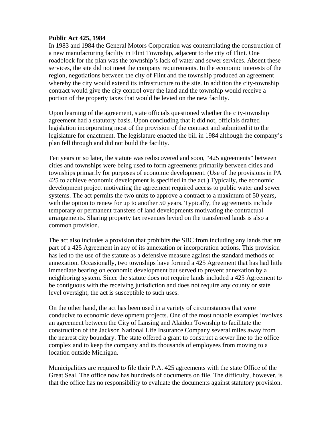#### **Public Act 425, 1984**

In 1983 and 1984 the General Motors Corporation was contemplating the construction of a new manufacturing facility in Flint Township, adjacent to the city of Flint. One roadblock for the plan was the township's lack of water and sewer services. Absent these services, the site did not meet the company requirements. In the economic interests of the region, negotiations between the city of Flint and the township produced an agreement whereby the city would extend its infrastructure to the site. In addition the city-township contract would give the city control over the land and the township would receive a portion of the property taxes that would be levied on the new facility.

Upon learning of the agreement, state officials questioned whether the city-township agreement had a statutory basis. Upon concluding that it did not, officials drafted legislation incorporating most of the provision of the contract and submitted it to the legislature for enactment. The legislature enacted the bill in 1984 although the company's plan fell through and did not build the facility.

Ten years or so later, the statute was rediscovered and soon, "425 agreements" between cities and townships were being used to form agreements primarily between cities and townships primarily for purposes of economic development. (Use of the provisions in PA 425 to achieve economic development is specified in the act.) Typically, the economic development project motivating the agreement required access to public water and sewer systems. The act permits the two units to approve a contract to a maximum of 50 years**,**  with the option to renew for up to another 50 years. Typically, the agreements include temporary or permanent transfers of land developments motivating the contractual arrangements. Sharing property tax revenues levied on the transferred lands is also a common provision.

The act also includes a provision that prohibits the SBC from including any lands that are part of a 425 Agreement in any of its annexation or incorporation actions. This provision has led to the use of the statute as a defensive measure against the standard methods of annexation. Occasionally, two townships have formed a 425 Agreement that has had little immediate bearing on economic development but served to prevent annexation by a neighboring system. Since the statute does not require lands included a 425 Agreement to be contiguous with the receiving jurisdiction and does not require any county or state level oversight, the act is susceptible to such uses.

On the other hand, the act has been used in a variety of circumstances that were conducive to economic development projects. One of the most notable examples involves an agreement between the City of Lansing and Alaidon Township to facilitate the construction of the Jackson National Life Insurance Company several miles away from the nearest city boundary. The state offered a grant to construct a sewer line to the office complex and to keep the company and its thousands of employees from moving to a location outside Michigan.

Municipalities are required to file their P.A. 425 agreements with the state Office of the Great Seal. The office now has hundreds of documents on file. The difficulty, however, is that the office has no responsibility to evaluate the documents against statutory provision.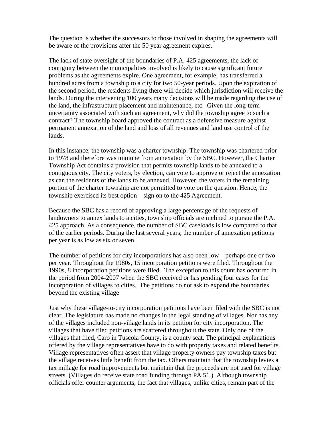The question is whether the successors to those involved in shaping the agreements will be aware of the provisions after the 50 year agreement expires.

The lack of state oversight of the boundaries of P.A. 425 agreements, the lack of contiguity between the municipalities involved is likely to cause significant future problems as the agreements expire. One agreement, for example, has transferred a hundred acres from a township to a city for two 50-year periods. Upon the expiration of the second period, the residents living there will decide which jurisdiction will receive the lands. During the intervening 100 years many decisions will be made regarding the use of the land, the infrastructure placement and maintenance, etc. Given the long-term uncertainty associated with such an agreement, why did the township agree to such a contract? The township board approved the contract as a defensive measure against permanent annexation of the land and loss of all revenues and land use control of the lands.

In this instance, the township was a charter township. The township was chartered prior to 1978 and therefore was immune from annexation by the SBC. However, the Charter Township Act contains a provision that permits township lands to be annexed to a contiguous city. The city voters, by election, can vote to approve or reject the annexation as can the residents of the lands to be annexed. However, the voters in the remaining portion of the charter township are not permitted to vote on the question. Hence, the township exercised its best option—sign on to the 425 Agreement.

Because the SBC has a record of approving a large percentage of the requests of landowners to annex lands to a cities, township officials are inclined to pursue the P.A. 425 approach. As a consequence, the number of SBC caseloads is low compared to that of the earlier periods. During the last several years, the number of annexation petitions per year is as low as six or seven.

The number of petitions for city incorporations has also been low—perhaps one or two per year. Throughout the 1980s, 15 incorporation petitions were filed. Throughout the 1990s, 8 incorporation petitions were filed.The exception to this count has occurred in the period from 2004-2007 when the SBC received or has pending four cases for the incorporation of villages to cities. The petitions do not ask to expand the boundaries beyond the existing village

Just why these village-to-city incorporation petitions have been filed with the SBC is not clear. The legislature has made no changes in the legal standing of villages. Nor has any of the villages included non-village lands in its petition for city incorporation. The villages that have filed petitions are scattered throughout the state. Only one of the villages that filed, Caro in Tuscola County, is a county seat. The principal explanations offered by the village representatives have to do with property taxes and related benefits. Village representatives often assert that village property owners pay township taxes but the village receives little benefit from the tax. Others maintain that the township levies a tax millage for road improvements but maintain that the proceeds are not used for village streets. (Villages do receive state road funding through PA 51.) Although township officials offer counter arguments, the fact that villages, unlike cities, remain part of the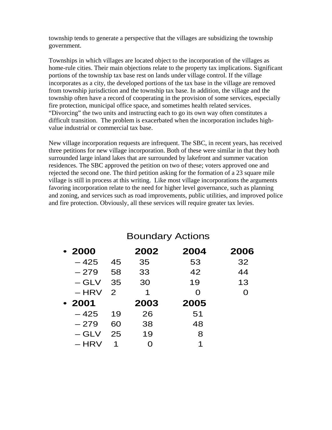township tends to generate a perspective that the villages are subsidizing the township government.

Townships in which villages are located object to the incorporation of the villages as home-rule cities. Their main objections relate to the property tax implications. Significant portions of the township tax base rest on lands under village control. If the village incorporates as a city, the developed portions of the tax base in the village are removed from township jurisdiction and the township tax base. In addition, the village and the township often have a record of cooperating in the provision of some services, especially fire protection, municipal office space, and sometimes health related services. "Divorcing" the two units and instructing each to go its own way often constitutes a difficult transition. The problem is exacerbated when the incorporation includes highvalue industrial or commercial tax base.

New village incorporation requests are infrequent. The SBC, in recent years, has received three petitions for new village incorporation. Both of these were similar in that they both surrounded large inland lakes that are surrounded by lakefront and summer vacation residences. The SBC approved the petition on two of these; voters approved one and rejected the second one. The third petition asking for the formation of a 23 square mile village is still in process at this writing. Like most village incorporations the arguments favoring incorporation relate to the need for higher level governance, such as planning and zoning, and services such as road improvements, public utilities, and improved police and fire protection. Obviously, all these services will require greater tax levies.

| $-2000$ |               | 2002 | 2004 | 2006 |
|---------|---------------|------|------|------|
| $-425$  | 45            | 35   | 53   | 32   |
| $-279$  | 58            | 33   | 42   | 44   |
| – GLV   | 35            | 30   | 19   | 13   |
| $-$ HRV | $\mathcal{P}$ | 1    | O    | O    |
|         |               |      |      |      |
| $-2001$ |               | 2003 | 2005 |      |
| $-425$  | 19            | 26   | 51   |      |
| $-279$  | 60            | 38   | 48   |      |
| $-$ GLV | 25            | 19   | 8    |      |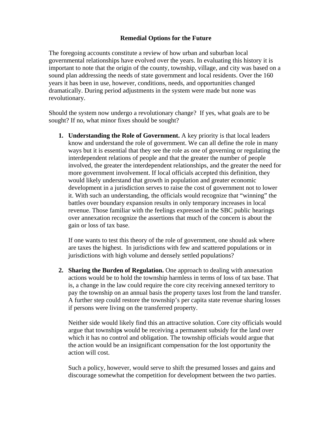#### **Remedial Options for the Future**

The foregoing accounts constitute a review of how urban and suburban local governmental relationships have evolved over the years. In evaluating this history it is important to note that the origin of the county, township, village, and city was based on a sound plan addressing the needs of state government and local residents. Over the 160 years it has been in use, however, conditions, needs, and opportunities changed dramatically. During period adjustments in the system were made but none was revolutionary.

Should the system now undergo a revolutionary change? If yes, what goals are to be sought? If no, what minor fixes should be sought?

**1. Understanding the Role of Government.** A key priority is that local leaders know and understand the role of government. We can all define the role in many ways but it is essential that they see the role as one of governing or regulating the interdependent relations of people and that the greater the number of people involved, the greater the interdependent relationships, and the greater the need for more government involvement. If local officials accepted this definition, they would likely understand that growth in population and greater economic development in a jurisdiction serves to raise the cost of government not to lower it. With such an understanding, the officials would recognize that "winning" the battles over boundary expansion results in only temporary increases in local revenue. Those familiar with the feelings expressed in the SBC public hearings over annexation recognize the assertions that much of the concern is about the gain or loss of tax base.

If one wants to test this theory of the role of government, one should ask where are taxes the highest. In jurisdictions with few and scattered populations or in jurisdictions with high volume and densely settled populations?

**2. Sharing the Burden of Regulation.** One approach to dealing with annexation actions would be to hold the township harmless in terms of loss of tax base. That is, a change in the law could require the core city receiving annexed territory to pay the township on an annual basis the property taxes lost from the land transfer. A further step could restore the township's per capita state revenue sharing losses if persons were living on the transferred property.

Neither side would likely find this an attractive solution. Core city officials would argue that township**s** would be receiving a permanent subsidy for the land over which it has no control and obligation. The township officials would argue that the action would be an insignificant compensation for the lost opportunity the action will cost.

Such a policy, however, would serve to shift the presumed losses and gains and discourage somewhat the competition for development between the two parties.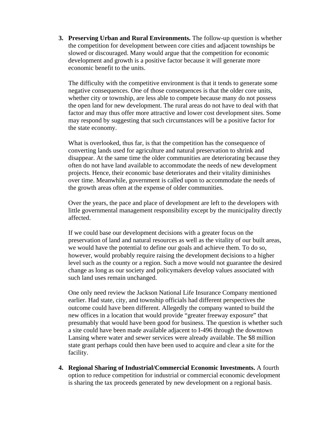**3. Preserving Urban and Rural Environments.** The follow-up question is whether the competition for development between core cities and adjacent townships be slowed or discouraged. Many would argue that the competition for economic development and growth is a positive factor because it will generate more economic benefit to the units.

The difficulty with the competitive environment is that it tends to generate some negative consequences. One of those consequences is that the older core units, whether city or township, are less able to compete because many do not possess the open land for new development. The rural areas do not have to deal with that factor and may thus offer more attractive and lower cost development sites. Some may respond by suggesting that such circumstances will be a positive factor for the state economy.

What is overlooked, thus far, is that the competition has the consequence of converting lands used for agriculture and natural preservation to shrink and disappear. At the same time the older communities are deteriorating because they often do not have land available to accommodate the needs of new development projects. Hence, their economic base deteriorates and their vitality diminishes over time. Meanwhile, government is called upon to accommodate the needs of the growth areas often at the expense of older communities.

Over the years, the pace and place of development are left to the developers with little governmental management responsibility except by the municipality directly affected.

If we could base our development decisions with a greater focus on the preservation of land and natural resources as well as the vitality of our built areas, we would have the potential to define our goals and achieve them. To do so, however, would probably require raising the development decisions to a higher level such as the county or a region. Such a move would not guarantee the desired change as long as our society and policymakers develop values associated with such land uses remain unchanged.

One only need review the Jackson National Life Insurance Company mentioned earlier. Had state, city, and township officials had different perspectives the outcome could have been different. Allegedly the company wanted to build the new offices in a location that would provide "greater freeway exposure" that presumably that would have been good for business. The question is whether such a site could have been made available adjacent to I-496 through the downtown Lansing where water and sewer services were already available. The \$8 million state grant perhaps could then have been used to acquire and clear a site for the facility.

**4. Regional Sharing of Industrial/Commercial Economic Investments.** A fourth option to reduce competition for industrial or commercial economic development is sharing the tax proceeds generated by new development on a regional basis.